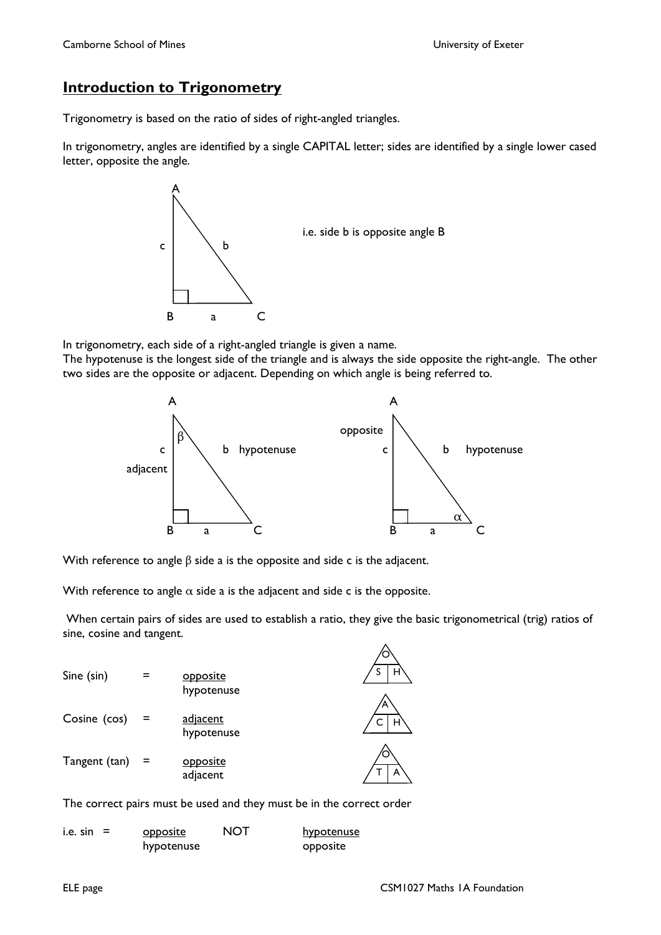# **Introduction to Trigonometry**

Trigonometry is based on the ratio of sides of right-angled triangles.

In trigonometry, angles are identified by a single CAPITAL letter; sides are identified by a single lower cased letter, opposite the angle.



In trigonometry, each side of a right-angled triangle is given a name.

The hypotenuse is the longest side of the triangle and is always the side opposite the right-angle. The other two sides are the opposite or adjacent. Depending on which angle is being referred to.



With reference to angle β side a is the opposite and side c is the adjacent.

With reference to angle  $\alpha$  side a is the adjacent and side c is the opposite.

 When certain pairs of sides are used to establish a ratio, they give the basic trigonometrical (trig) ratios of sine, cosine and tangent.

| Sine (sin)    | opposite<br>hypotenuse | н      |
|---------------|------------------------|--------|
| Cosine (cos)  | adjacent<br>hypotenuse | Α<br>н |
| Tangent (tan) | opposite<br>adjacent   | A      |

The correct pairs must be used and they must be in the correct order

| i.e. sin | <b>opposite</b> | NOT | hypotenuse |
|----------|-----------------|-----|------------|
|          | hypotenuse      |     | opposite   |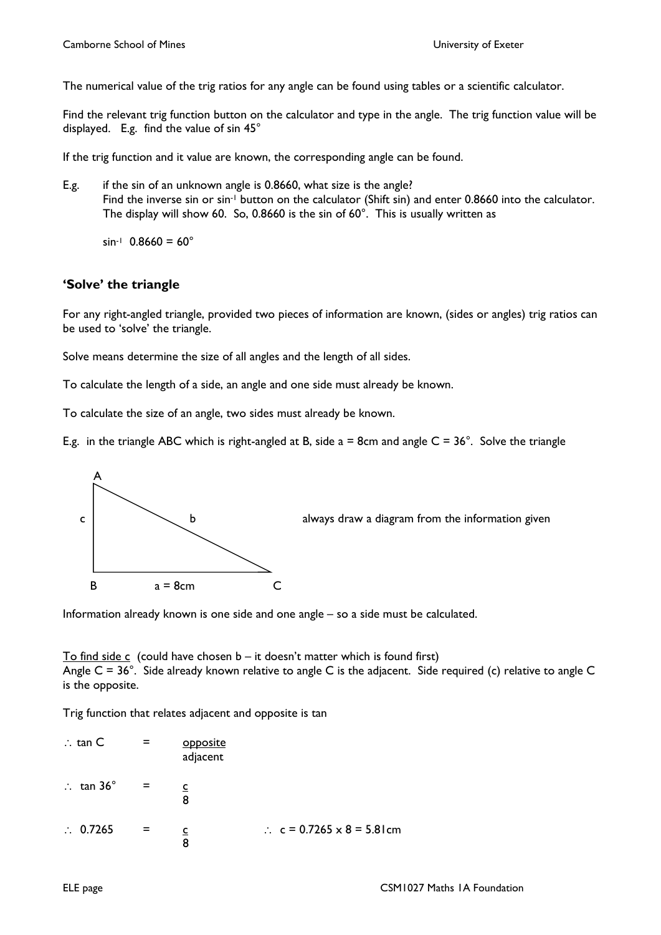The numerical value of the trig ratios for any angle can be found using tables or a scientific calculator.

Find the relevant trig function button on the calculator and type in the angle. The trig function value will be displayed. E.g. find the value of sin 45°

If the trig function and it value are known, the corresponding angle can be found.

E.g. if the sin of an unknown angle is 0.8660, what size is the angle? Find the inverse sin or sin<sup>-1</sup> button on the calculator (Shift sin) and enter 0.8660 into the calculator. The display will show 60. So, 0.8660 is the sin of 60°. This is usually written as

 $\sin^{-1}$  0.8660 = 60°

### **'Solve' the triangle**

For any right-angled triangle, provided two pieces of information are known, (sides or angles) trig ratios can be used to 'solve' the triangle.

Solve means determine the size of all angles and the length of all sides.

To calculate the length of a side, an angle and one side must already be known.

To calculate the size of an angle, two sides must already be known.

E.g. in the triangle ABC which is right-angled at B, side  $a = 8$ cm and angle  $C = 36^\circ$ . Solve the triangle



Information already known is one side and one angle – so a side must be calculated.

To find side c (could have chosen  $b - it$  doesn't matter which is found first) Angle C = 36°. Side already known relative to angle C is the adjacent. Side required (c) relative to angle C is the opposite.

Trig function that relates adjacent and opposite is tan

$$
\therefore \tan C = \frac{\text{opposite}}{\text{adjacent}}
$$
  
\n
$$
\therefore \tan 36^\circ = \frac{c}{8}
$$
  
\n
$$
\therefore 0.7265 = \frac{c}{8}
$$
  
\n
$$
\therefore c = 0.7265 \times 8 = 5.81 \text{ cm}
$$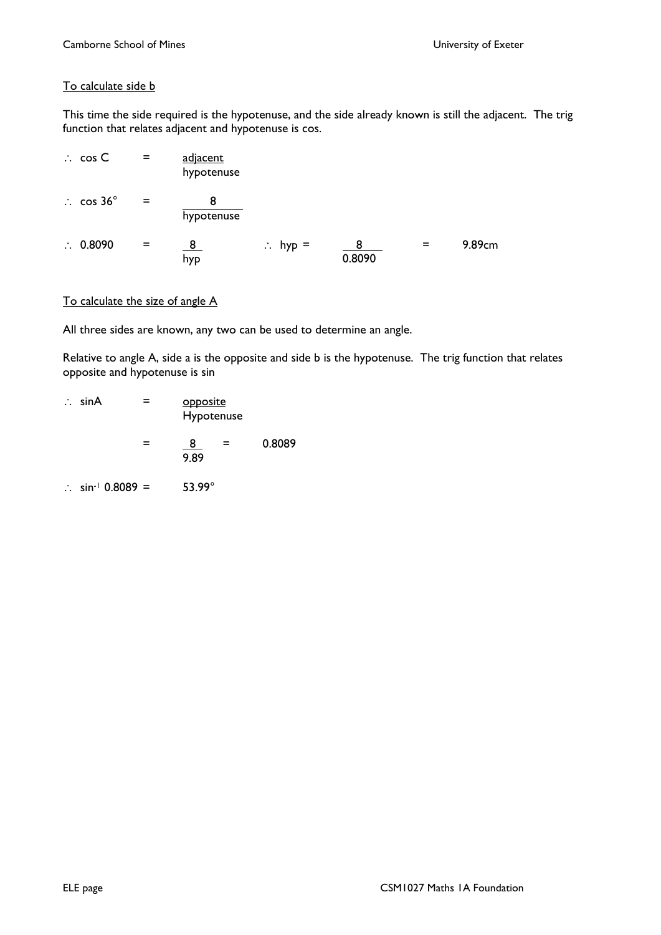### To calculate side **b**

This time the side required is the hypotenuse, and the side already known is still the adjacent. The trig function that relates adjacent and hypotenuse is cos.

| $\therefore$ cos C   | $\equiv$ | adjacent<br>hypotenuse |                    |             |     |        |
|----------------------|----------|------------------------|--------------------|-------------|-----|--------|
| $\therefore$ cos 36° | $=$      | hypotenuse             |                    |             |     |        |
| $\therefore$ 0.8090  | $=$      | <u>8</u><br>hyp        | $\therefore$ hyp = | 8<br>0.8090 | $=$ | 9.89cm |

#### To calculate the size of angle A

All three sides are known, any two can be used to determine an angle.

Relative to angle A, side a is the opposite and side b is the hypotenuse. The trig function that relates opposite and hypotenuse is sin

| $\therefore$ sinA    | $=$                 | opposite<br>Hypotenuse |        |
|----------------------|---------------------|------------------------|--------|
|                      |                     | -8<br>$=$<br>9.89      | 0.8089 |
| $\ddot{\phantom{a}}$ | $sin^{-1}$ 0.8089 = | $53.99^\circ$          |        |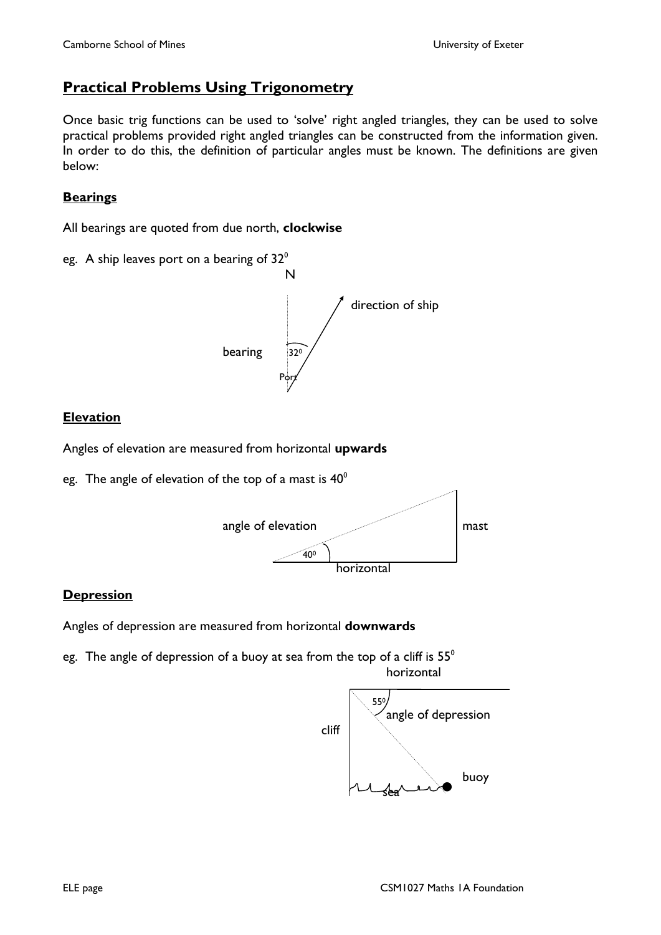## **Practical Problems Using Trigonometry**

Once basic trig functions can be used to 'solve' right angled triangles, they can be used to solve practical problems provided right angled triangles can be constructed from the information given. In order to do this, the definition of particular angles must be known. The definitions are given below:

### **Bearings**

All bearings are quoted from due north, **clockwise** 

eg. A ship leaves port on a bearing of  $32^{\circ}$ 



### **Elevation**

Angles of elevation are measured from horizontal **upwards**

eg. The angle of elevation of the top of a mast is  $40^{\circ}$ 



#### **Depression**

Angles of depression are measured from horizontal **downwards** 

eg. The angle of depression of a buoy at sea from the top of a cliff is  $55^\circ$ horizontal